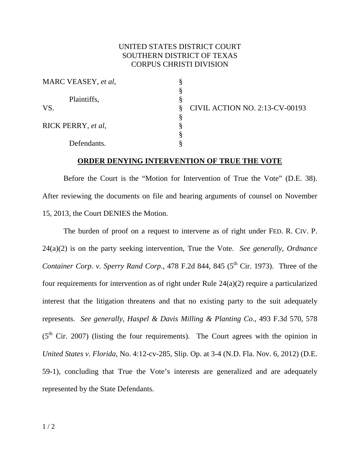## UNITED STATES DISTRICT COURT SOUTHERN DISTRICT OF TEXAS CORPUS CHRISTI DIVISION

| MARC VEASEY, et al, |                                       |  |
|---------------------|---------------------------------------|--|
|                     |                                       |  |
| Plaintiffs,         |                                       |  |
| VS.                 | <b>CIVIL ACTION NO. 2:13-CV-00193</b> |  |
|                     |                                       |  |
| RICK PERRY, et al,  |                                       |  |
|                     |                                       |  |
| Defendants.         |                                       |  |

## **ORDER DENYING INTERVENTION OF TRUE THE VOTE**

 Before the Court is the "Motion for Intervention of True the Vote" (D.E. 38). After reviewing the documents on file and hearing arguments of counsel on November 15, 2013, the Court DENIES the Motion.

 The burden of proof on a request to intervene as of right under FED. R. CIV. P. 24(a)(2) is on the party seeking intervention, True the Vote. *See generally, Ordnance Container Corp. v. Sperry Rand Corp.*, 478 F.2d 844, 845 ( $5<sup>th</sup>$  Cir. 1973). Three of the four requirements for intervention as of right under Rule 24(a)(2) require a particularized interest that the litigation threatens and that no existing party to the suit adequately represents. *See generally, Haspel & Davis Milling & Planting Co*., 493 F.3d 570, 578  $(5<sup>th</sup>$  Cir. 2007) (listing the four requirements). The Court agrees with the opinion in *United States v. Florida*, No. 4:12-cv-285, Slip. Op. at 3-4 (N.D. Fla. Nov. 6, 2012) (D.E. 59-1), concluding that True the Vote's interests are generalized and are adequately represented by the State Defendants.